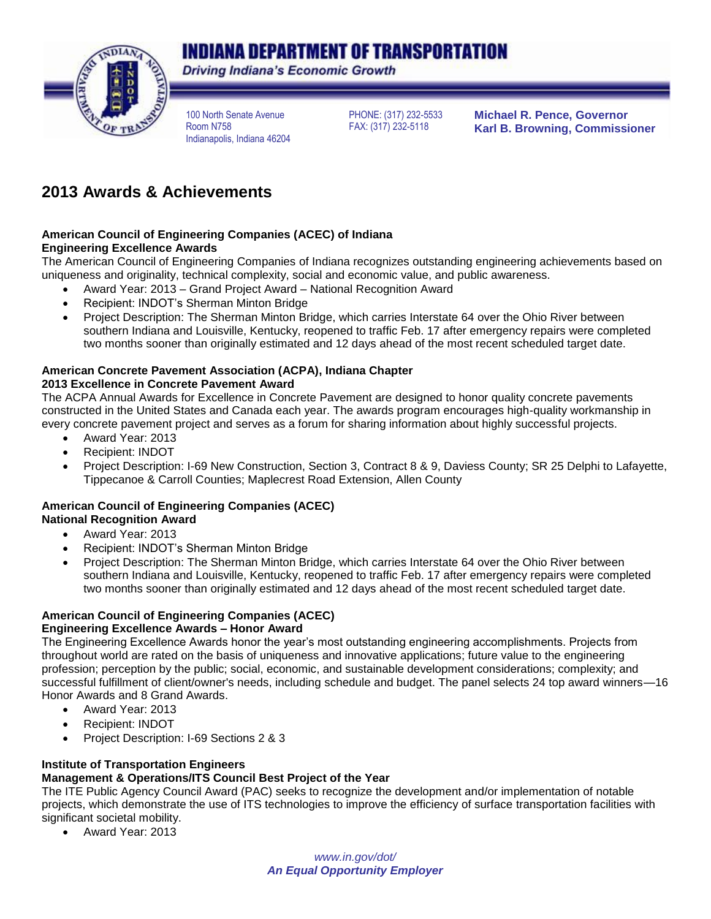# INDIANA DEPARTMENT OF TRANSPORTATION



**Driving Indiana's Economic Growth** 

100 North Senate Avenue Room N758 Indianapolis, Indiana 46204 PHONE: (317) 232-5533 FAX: (317) 232-5118

**Michael R. Pence, Governor Karl B. Browning, Commissioner**

# **2013 Awards & Achievements**

#### **American Council of Engineering Companies (ACEC) of Indiana Engineering Excellence Awards**

The American Council of Engineering Companies of Indiana recognizes outstanding engineering achievements based on

uniqueness and originality, technical complexity, social and economic value, and public awareness.

- Award Year: 2013 Grand Project Award National Recognition Award
- Recipient: INDOT's Sherman Minton Bridge
- Project Description: The Sherman Minton Bridge, which carries Interstate 64 over the Ohio River between southern Indiana and Louisville, Kentucky, reopened to traffic Feb. 17 after emergency repairs were completed two months sooner than originally estimated and 12 days ahead of the most recent scheduled target date.

## **American Concrete Pavement Association (ACPA), Indiana Chapter**

#### **2013 Excellence in Concrete Pavement Award**

The ACPA Annual Awards for Excellence in Concrete Pavement are designed to honor quality concrete pavements constructed in the United States and Canada each year. The awards program encourages high-quality workmanship in every concrete pavement project and serves as a forum for sharing information about highly successful projects.

- Award Year: 2013
- Recipient: INDOT
- Project Description: I-69 New Construction, Section 3, Contract 8 & 9, Daviess County; SR 25 Delphi to Lafayette, Tippecanoe & Carroll Counties; Maplecrest Road Extension, Allen County

# **American Council of Engineering Companies (ACEC)**

# **National Recognition Award**

- Award Year: 2013
- Recipient: INDOT's Sherman Minton Bridge
- Project Description: The Sherman Minton Bridge, which carries Interstate 64 over the Ohio River between southern Indiana and Louisville, Kentucky, reopened to traffic Feb. 17 after emergency repairs were completed two months sooner than originally estimated and 12 days ahead of the most recent scheduled target date.

### **American Council of Engineering Companies (ACEC)**

### **Engineering Excellence Awards – Honor Award**

The Engineering Excellence Awards honor the year's most outstanding engineering accomplishments. Projects from throughout world are rated on the basis of uniqueness and innovative applications; future value to the engineering profession; perception by the public; social, economic, and sustainable development considerations; complexity; and successful fulfillment of client/owner's needs, including schedule and budget. The panel selects 24 top award winners—16 Honor Awards and 8 Grand Awards.

- Award Year: 2013
- Recipient: INDOT
- Project Description: I-69 Sections 2 & 3

#### **Institute of Transportation Engineers Management & Operations/ITS Council Best Project of the Year**

The ITE Public Agency Council Award (PAC) seeks to recognize the development and/or implementation of notable projects, which demonstrate the use of ITS technologies to improve the efficiency of surface transportation facilities with significant societal mobility.

Award Year: 2013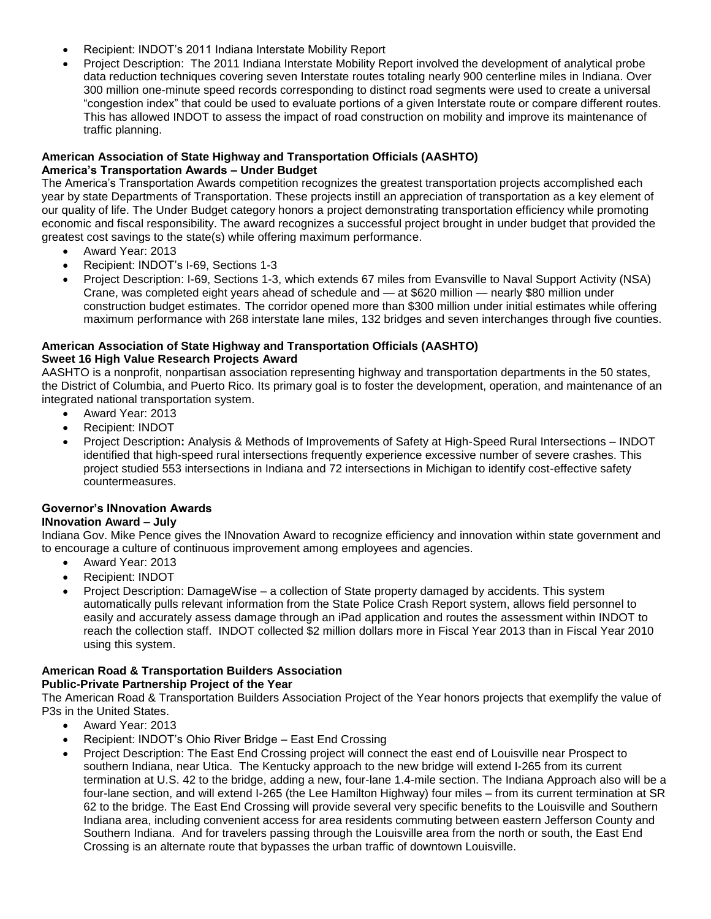- Recipient: INDOT's 2011 Indiana Interstate Mobility Report
- Project Description: The 2011 Indiana Interstate Mobility Report involved the development of analytical probe data reduction techniques covering seven Interstate routes totaling nearly 900 centerline miles in Indiana. Over 300 million one-minute speed records corresponding to distinct road segments were used to create a universal "congestion index" that could be used to evaluate portions of a given Interstate route or compare different routes. This has allowed INDOT to assess the impact of road construction on mobility and improve its maintenance of traffic planning.

#### **American Association of State Highway and Transportation Officials (AASHTO) America's Transportation Awards – Under Budget**

The America's Transportation Awards competition recognizes the greatest transportation projects accomplished each year by state Departments of Transportation. These projects instill an appreciation of transportation as a key element of our quality of life. The Under Budget category honors a project demonstrating transportation efficiency while promoting economic and fiscal responsibility. The award recognizes a successful project brought in under budget that provided the greatest cost savings to the state(s) while offering maximum performance.

- Award Year: 2013
- Recipient: INDOT's I-69, Sections 1-3
- Project Description: I-69, Sections 1-3, which extends 67 miles from Evansville to Naval Support Activity (NSA) Crane, was completed eight years ahead of schedule and — at \$620 million — nearly \$80 million under construction budget estimates. The corridor opened more than \$300 million under initial estimates while offering maximum performance with 268 interstate lane miles, 132 bridges and seven interchanges through five counties.

#### **American Association of State Highway and Transportation Officials (AASHTO) Sweet 16 High Value Research Projects Award**

AASHTO is a nonprofit, nonpartisan association representing highway and transportation departments in the 50 states, the District of Columbia, and Puerto Rico. Its primary goal is to foster the development, operation, and maintenance of an integrated national transportation system.

- Award Year: 2013
- Recipient: INDOT
- Project Description**:** Analysis & Methods of Improvements of Safety at High-Speed Rural Intersections INDOT identified that high-speed rural intersections frequently experience excessive number of severe crashes. This project studied 553 intersections in Indiana and 72 intersections in Michigan to identify cost-effective safety countermeasures.

#### **Governor's INnovation Awards**

#### **INnovation Award – July**

Indiana Gov. Mike Pence gives the INnovation Award to recognize efficiency and innovation within state government and to encourage a culture of continuous improvement among employees and agencies.

- Award Year: 2013
- Recipient: INDOT
- Project Description: DamageWise a collection of State property damaged by accidents. This system automatically pulls relevant information from the State Police Crash Report system, allows field personnel to easily and accurately assess damage through an iPad application and routes the assessment within INDOT to reach the collection staff. INDOT collected \$2 million dollars more in Fiscal Year 2013 than in Fiscal Year 2010 using this system.

# **American Road & Transportation Builders Association**

#### **Public-Private Partnership Project of the Year**

The American Road & Transportation Builders Association Project of the Year honors projects that exemplify the value of P3s in the United States.

- Award Year: 2013
- Recipient: INDOT's Ohio River Bridge East End Crossing
- Project Description: The East End Crossing project will connect the east end of Louisville near Prospect to southern Indiana, near Utica. The Kentucky approach to the new bridge will extend I-265 from its current termination at U.S. 42 to the bridge, adding a new, four-lane 1.4-mile section. The Indiana Approach also will be a four-lane section, and will extend I-265 (the Lee Hamilton Highway) four miles – from its current termination at SR 62 to the bridge. The East End Crossing will provide several very specific benefits to the Louisville and Southern Indiana area, including convenient access for area residents commuting between eastern Jefferson County and Southern Indiana. And for travelers passing through the Louisville area from the north or south, the East End Crossing is an alternate route that bypasses the urban traffic of downtown Louisville.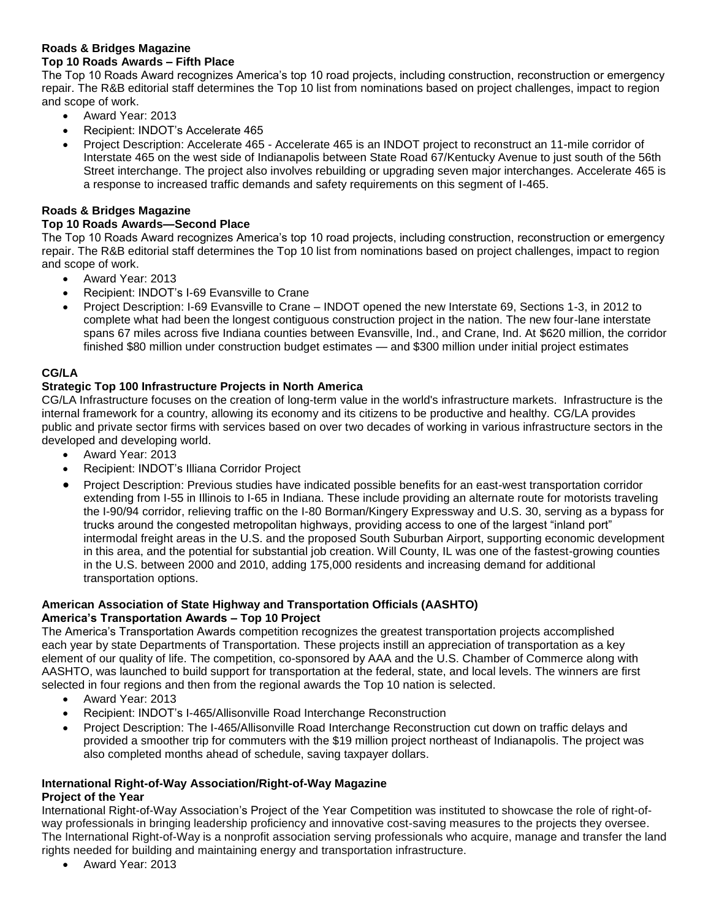#### **Roads & Bridges Magazine**

#### **Top 10 Roads Awards – Fifth Place**

The Top 10 Roads Award recognizes America's top 10 road projects, including construction, reconstruction or emergency repair. The R&B editorial staff determines the Top 10 list from nominations based on project challenges, impact to region and scope of work.

- Award Year: 2013
- Recipient: INDOT's Accelerate 465
- Project Description: Accelerate 465 Accelerate 465 is an INDOT project to reconstruct an 11-mile corridor of Interstate 465 on the west side of Indianapolis between State Road 67/Kentucky Avenue to just south of the 56th Street interchange. The project also involves rebuilding or upgrading seven major interchanges. Accelerate 465 is a response to increased traffic demands and safety requirements on this segment of I-465.

#### **Roads & Bridges Magazine**

#### **Top 10 Roads Awards—Second Place**

The Top 10 Roads Award recognizes America's top 10 road projects, including construction, reconstruction or emergency repair. The R&B editorial staff determines the Top 10 list from nominations based on project challenges, impact to region and scope of work.

- Award Year: 2013
- Recipient: INDOT's I-69 Evansville to Crane
- Project Description: I-69 Evansville to Crane INDOT opened the new Interstate 69, Sections 1-3, in 2012 to complete what had been the longest contiguous construction project in the nation. The new four-lane interstate spans 67 miles across five Indiana counties between Evansville, Ind., and Crane, Ind. At \$620 million, the corridor finished \$80 million under construction budget estimates — and \$300 million under initial project estimates

#### **CG/LA**

#### **Strategic Top 100 Infrastructure Projects in North America**

CG/LA Infrastructure focuses on the creation of long-term value in the world's infrastructure markets. Infrastructure is the internal framework for a country, allowing its economy and its citizens to be productive and healthy. CG/LA provides public and private sector firms with services based on over two decades of working in various infrastructure sectors in the developed and developing world.

- Award Year: 2013
- Recipient: INDOT's Illiana Corridor Project
- Project Description: Previous studies have indicated possible benefits for an east-west transportation corridor extending from I-55 in Illinois to I-65 in Indiana. These include providing an alternate route for motorists traveling the I-90/94 corridor, relieving traffic on the I-80 Borman/Kingery Expressway and U.S. 30, serving as a bypass for trucks around the congested metropolitan highways, providing access to one of the largest "inland port" intermodal freight areas in the U.S. and the proposed South Suburban Airport, supporting economic development in this area, and the potential for substantial job creation. Will County, IL was one of the fastest-growing counties in the U.S. between 2000 and 2010, adding 175,000 residents and increasing demand for additional transportation options.

#### **American Association of State Highway and Transportation Officials (AASHTO) America's Transportation Awards – Top 10 Project**

The America's Transportation Awards competition recognizes the greatest transportation projects accomplished each year by state Departments of Transportation. These projects instill an appreciation of transportation as a key element of our quality of life. The competition, co-sponsored by AAA and the U.S. Chamber of Commerce along with AASHTO, was launched to build support for transportation at the federal, state, and local levels. The winners are first selected in four regions and then from the regional awards the Top 10 nation is selected.

- Award Year: 2013
- Recipient: INDOT's I-465/Allisonville Road Interchange Reconstruction
- Project Description: The I-465/Allisonville Road Interchange Reconstruction cut down on traffic delays and provided a smoother trip for commuters with the \$19 million project northeast of Indianapolis. The project was also completed months ahead of schedule, saving taxpayer dollars.

#### **International Right-of-Way Association/Right-of-Way Magazine Project of the Year**

International Right-of-Way Association's Project of the Year Competition was instituted to showcase the role of right-ofway professionals in bringing leadership proficiency and innovative cost-saving measures to the projects they oversee. The International Right-of-Way is a nonprofit association serving professionals who acquire, manage and transfer the land rights needed for building and maintaining energy and transportation infrastructure.

Award Year: 2013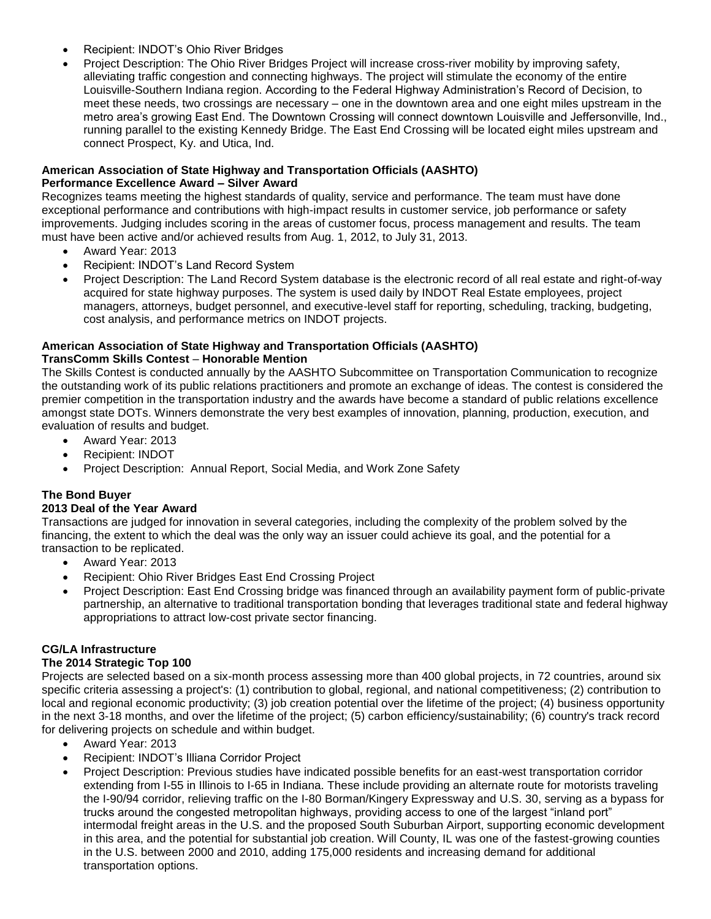- Recipient: INDOT's Ohio River Bridges
- Project Description: The Ohio River Bridges Project will increase cross-river mobility by improving safety, alleviating traffic congestion and connecting highways. The project will stimulate the economy of the entire Louisville-Southern Indiana region. According to the Federal Highway Administration's Record of Decision, to meet these needs, two crossings are necessary – one in the downtown area and one eight miles upstream in the metro area's growing East End. The Downtown Crossing will connect downtown Louisville and Jeffersonville, Ind., running parallel to the existing Kennedy Bridge. The East End Crossing will be located eight miles upstream and connect Prospect, Ky. and Utica, Ind.

#### **American Association of State Highway and Transportation Officials (AASHTO) Performance Excellence Award – Silver Award**

Recognizes teams meeting the highest standards of quality, service and performance. The team must have done exceptional performance and contributions with high-impact results in customer service, job performance or safety improvements. Judging includes scoring in the areas of customer focus, process management and results. The team must have been active and/or achieved results from Aug. 1, 2012, to July 31, 2013.

- Award Year: 2013
- Recipient: INDOT's Land Record System
- Project Description: The Land Record System database is the electronic record of all real estate and right-of-way acquired for state highway purposes. The system is used daily by INDOT Real Estate employees, project managers, attorneys, budget personnel, and executive-level staff for reporting, scheduling, tracking, budgeting, cost analysis, and performance metrics on INDOT projects.

# **American Association of State Highway and Transportation Officials (AASHTO)**

**TransComm Skills Contest - Honorable Mention** 

The Skills Contest is conducted annually by the AASHTO Subcommittee on Transportation Communication to recognize the outstanding work of its public relations practitioners and promote an exchange of ideas. The contest is considered the premier competition in the transportation industry and the awards have become a standard of public relations excellence amongst state DOTs. Winners demonstrate the very best examples of innovation, planning, production, execution, and evaluation of results and budget.

- Award Year: 2013
- Recipient: INDOT
- Project Description: Annual Report, Social Media, and Work Zone Safety

### **The Bond Buyer**

#### **2013 Deal of the Year Award**

Transactions are judged for innovation in several categories, including the complexity of the problem solved by the financing, the extent to which the deal was the only way an issuer could achieve its goal, and the potential for a transaction to be replicated.

- Award Year: 2013
- Recipient: Ohio River Bridges East End Crossing Project
- Project Description: East End Crossing bridge was financed through an availability payment form of public-private partnership, an alternative to traditional transportation bonding that leverages traditional state and federal highway appropriations to attract low-cost private sector financing.

## **CG/LA Infrastructure**

#### **The 2014 Strategic Top 100**

Projects are selected based on a six-month process assessing more than 400 global projects, in 72 countries, around six specific criteria assessing a project's: (1) contribution to global, regional, and national competitiveness; (2) contribution to local and regional economic productivity; (3) job creation potential over the lifetime of the project; (4) business opportunity in the next 3-18 months, and over the lifetime of the project; (5) carbon efficiency/sustainability; (6) country's track record for delivering projects on schedule and within budget.

- Award Year: 2013
- Recipient: INDOT's Illiana Corridor Project
- Project Description: Previous studies have indicated possible benefits for an east-west transportation corridor extending from I-55 in Illinois to I-65 in Indiana. These include providing an alternate route for motorists traveling the I-90/94 corridor, relieving traffic on the I-80 Borman/Kingery Expressway and U.S. 30, serving as a bypass for trucks around the congested metropolitan highways, providing access to one of the largest "inland port" intermodal freight areas in the U.S. and the proposed South Suburban Airport, supporting economic development in this area, and the potential for substantial job creation. Will County, IL was one of the fastest-growing counties in the U.S. between 2000 and 2010, adding 175,000 residents and increasing demand for additional transportation options.